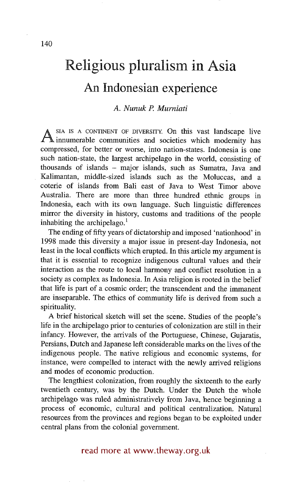# **Religious pluralism in Asia An Indonesian experience**

# *A. Nunuk P. Murniati*

A <sup>SIA IS A CONTINENT OF DIVERSITY. On this vast landscape live innumerable communities and societies which modernity has</sup> compressed, for better or worse, into nation-states. Indonesia is one such nation-state, the largest archipelago in the world, consisting of thousands of islands - major islands, such as Sumatra, Java and Kalimantan, middle-sized islands such as the Moluccas, and a coterie of islands from Bali east of Java to West Timor above Australia. There are more than three hundred ethnic groups in Indonesia, each with its own language. Such linguistic differences mirror the diversity in history, customs and traditions of the people inhabiting the archipelago. $<sup>1</sup>$ </sup>

The ending of fifty years of dictatorship and imposed 'nationhood' in 1998 made this diversity a major issue in present-day Indonesia, not least in the local conflicts which erupted. In this article my argument is that it is essential to recognize indigenous cultural values and their interaction as the route to local harmony and conflict resolution in a society as complex as Indonesia. In Asia religion is rooted in the belief that life is part of a cosmic order; the transcendent and the immanent are inseparable. The ethics of community life is derived from such a spirituality.

A brief historical sketch will set the scene. Studies of the people's life in the archipelago prior to centuries of colonization are still in their infancy. However, the arrivals of the Portuguese, Chinese, Gujaratis, Persians, Dutch and Japanese left considerable marks on the lives of the indigenous people. The native religious and economic systems, for instance, were compelled to interact with the newly arrived religions and modes of economic production.

The lengthiest colonization, from roughly the sixteenth to the early twentieth century, was by the Dutch. Under the Dutch the whole archipelago was ruled administratively from Java, hence beginning a process of economic, cultural and political centralization. Natural resources from the provinces and regions began to be exploited under central plans from the colonial government.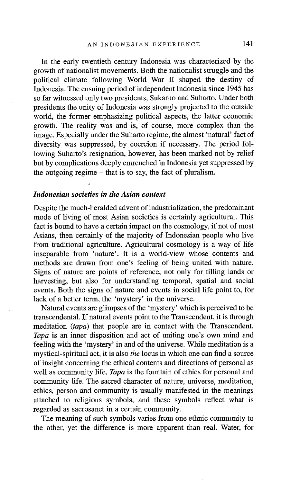In the early twentieth century Indonesia was characterized by the growth of nationalist movements. Both the nationalist struggle and the political climate following World War II shaped the destiny of Indonesia. The ensuing period of independent Indonesia since 1945 has so far witnessed only two presidents, Sukarno and Suharto. Under both presidents the unity of Indonesia was strongly projected to the outside world, the former emphasizing political aspects, the latter economic growth. The reality was and is, of course, more complex than the image. Especially under the Suharto regime, the almost 'natural' fact of diversity was suppressed, by coercion if necessary. The period following Suharto's resignation, however, has been marked not by relief but by complications deeply entrenched in Indonesia yet suppressed by the outgoing regime  $-$  that is to say, the fact of pluralism.

## *Indonesian societies in the Asian context*

Despite the much-heralded advent of industrialization, the predominant mode of living of most Asian societies is certainly agricultural. This fact is bound to have a certain impact on the cosmology, if not of most Asians, then certainly of the majority of Indonesian people who live from traditional agriculture. Agricultural cosmology is a way of life inseparable from 'nature'. It is a world-view whose contents and methods are drawn from one's feeling of being united with nature. Signs of nature are points of reference, not only for tilling lands or harvesting, but also for understanding temporal, spatial and social events. Both the signs of nature and events in social life point to, for lack of a better term, the 'mystery' in the universe.

Natural events are glimpses of the 'mystery' which is perceived to be transcendental. If natural events point to the Transcendent, it is through meditation *(tapa)* that people are in contact with the Transcendent. *Tapa* is an inner disposition and act of uniting one's own mind and feeling with the 'mystery' in and of the universe. While meditation is a mystical-spiritual act, it is also *the* locus in which one can find a source of insight concerning the ethical contents and directions of personal as well as community life. *Tapa* is the fountain of ethics for personal and community life. The sacred character of nature, universe, meditation, ethics, person and community is usually manifested in the meanings attached to religious symbols, and these symbols reflect what is regarded as sacrosanct in a certain community.

The meaning of such symbols varies from one ethnic community to the other, yet the difference is more apparent than real. Water, for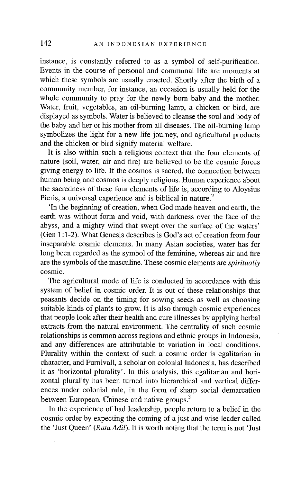instance, is constantly referred to as a symbol of self-purification. Events in the course of personal and communal life are moments at which these symbols are usually enacted. Shortly after the birth of a community member, for instance, an occasion is usually held for the whole community to pray for the newly born baby and the mother. Water, fruit, vegetables, an oil-burning lamp, a chicken or bird, are displayed as symbols. Water is believed to cleanse the soul and body of the baby and her or his mother from all diseases. The oil-burning lamp symbolizes the light for a new life journey, and agricultural products and the chicken or bird signify material welfare.

It is also within such a religious context that the four elements of nature (soil, water, air and fire) are believed to be the cosmic forces giving energy to life. If the cosmos is sacred, the connection between human being and cosmos is deeply religious. Human experience about the sacredness of these four elements of life is, according to Aloysius Pieris, a universal experience and is biblical in nature.<sup>2</sup>

'In the beginning of creation, when God made heaven and earth, the earth was without form and void, with darkness over the face of the abyss, and a mighty wind that swept over the surface of the waters' (Gen 1:1-2). What Genesis describes is God's act of creation from four inseparable cosmic elements. In many Asian societies, water has for long been regarded as the symbol of the feminine, whereas air and fire are the symbols of the masculine. These cosmic elements are *spiritually*  cosmic.

The agricultural mode of life is conducted in accordance with this system of belief in cosmic order. It is out of these relationships that peasants decide on the timing for sowing seeds as well as choosing suitable kinds of plants to grow. It is also through cosmic experiences that people look after their health and cure illnesses by applying herbal extracts from the natural environment. The centrality of such cosmic relationships is common across regions and ethnic groups in Indonesia, and any differences are attributable to variation in local conditions. Plurality within the context of such a cosmic order is egalitarian in character, and Furnivall, a scholar on colonial Indonesia, has described it as 'horizontal plurality'. In this analysis, this egalitarian and horizontal plurality has been turned into hierarchical and vertical differences under colonial rule, in the form of sharp social demarcation between European, Chinese and native groups.<sup>3</sup>

In the experience of bad leadership, people return to a belief in the cosmic order by expecting the coming of a just and wise leader called the 'Just Queen' *(Ratu Adil).* It is worth noting that the term is not 'Just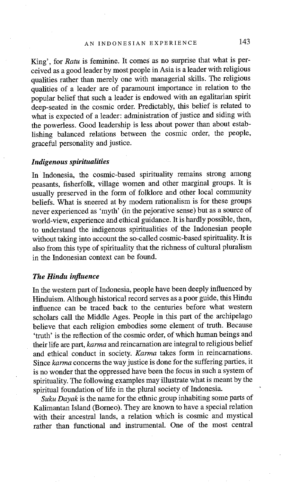King', for *Ratu* is feminine. It comes as no surprise that what is perceived as a good leader by most people in Asia is a leader with religious qualities rather than merely one with managerial skills. The religious qualities of a leader are of paramount importance in relation to the popular belief that such a leader is endowed with an egalitarian spirit deep-seated in the cosmic order. Predictably, this belief is related to what is expected of a leader: administration of justice and siding with the powerless. Good leadership is less about power than about establishing balanced relations between the cosmic order, the people, graceful personality and justice.

## *Indigenous spiritualities*

In Indonesia, the cosmic-based spirituality remains strong among peasants, fisherfolk, village women and other marginal groups. It is usually preserved in the form of folklore and other local community beliefs. What is sneered at by modern rationalism is for these groups never experienced as 'myth' (in the pejorative sense) but as a source of world-view, experience and ethical guidance. It is hardly possible, then, to understand the indigenous spiritualities of the Indonesian people without taking into account the so-called cosmic-based spirituality. It is also from this type of spirituality that the richness of cultural pluralism in the Indonesian context can be found.

## *The Hindu influence*

In the western part of Indonesia, people have been deeply influenced by Hinduism. Although historical record serves as a poor guide, this Hindu influence can be traced back to the centuries before what western scholars call the Middle Ages. People in this part of the archipelago believe that each religion embodies some element of truth. Because 'truth' is the reflection of the cosmic order, of which human beings and their life are part, *karma* and reincarnation are integral to religious belief and ethical conduct in society. *Karma* takes form in reincarnations. Since *karma* concerns the way justice is done for the suffering parties, it is no wonder that the oppressed have been the focus in such a system of spirituality. The following examples may illustrate what is meant by the spiritual foundation of life in the plural society of Indonesia.

*Suku Dayak* is the name for the ethnic group inhabiting some parts of Kalimantan Island (Borneo). They are known to have a special relation with their ancestral lands, a relation which is cosmic and mystical rather than functional and instrumental. One of the most central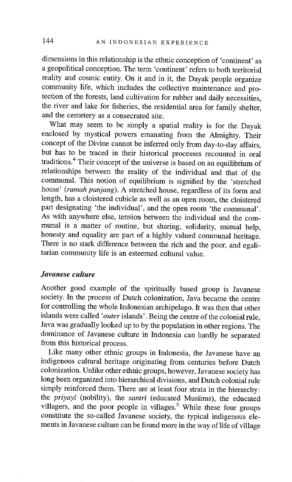dimensions in this relationship is 'the ethnic conception of 'continent' as a geopolitical conception. The term 'continent' refers to both territorial reality and cosmic entity. On it and in it, the Dayak people organize community life, which includes the collective maintenance and protection of the forests, land cultivation for rubber and daily necessities, the fiver and lake for fisheries, the residential area for family shelter, and the cemetery as a consecrated site.

What may seem to be simply a spatial reality is for the Dayak enclosed by mystical powers emanating from the Almighty. Their concept of the Divine cannot be inferred only from day-to-day affairs, but has to be traced in their historical processes recounted in oral traditions. 4 Their concept of the universe is based on an equilibrium of relationships between the reality of the individual and that of the communal. This notion of equilibrium is signified by the 'stretched house' *(rumah panjang).* A stretched house, regardless of its form and length, has a cloistered cubicle as well as an open room, the cloistered part designating 'the individual', and the open room 'the communal'. As with anywhere else, tension between the individual and the communal is a matter of routine, but sharing, solidarity, mutual help, honesty and equality are part of a highly valued communal heritage. There is no stark difference between the rich and the poor, and egalitarian community life is an esteemed cultural value.

# *Javanese culture*

Another good example of the spiritually based group is Javanese society. In the process of Dutch colonization, Java became the centre for controlling the whole Indonesian archipelago. It was then that other islands were called *'outer* islands'. Being the centre of the colonial rule, Java was gradually looked up to by the population in other regions. The dominance of Javanese culture in Indonesia can hardly be separated from this historical process.

Like many other ethnic groups in Indonesia, the Javanese have an indigenous cultural heritage originating from centuries before Dutch colonization. Unlike other ethnic groups, however, Javanese society has long been organized into hierarchical divisions, and Dutch colonial rule simply reinforced them. There are at least four strata in the hierarchy: the *priyayi* (nobility), the *santri* (educated Muslims), the educated villagers, and the poor people in villages.<sup>5</sup> While these four groups constitute the so-called Javanese society, the typical indigenous elements in Javanese culture can be found more in the way of life of village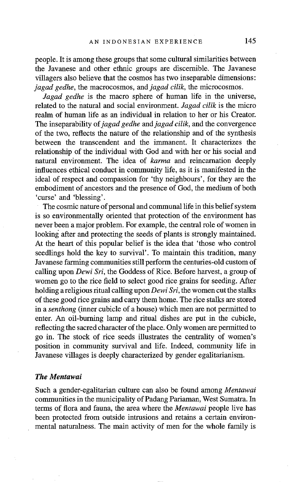people. It is among these groups that some cultural similarities between the Javanese and other ethnic groups are discernible. The Javanese villagers also believe that the cosmos has two inseparable dimensions: *jagad gedhe,* the macrocosmos, and *jagad cilik*, the microcosmos.

*Jagad gedhe* is the macro sphere of human life in the universe, related to the natural and social environment. *Jagad cilik* is the micro realm of human life as an individual in relation to her or his Creator. The inseparability of *jagad gedhe* and *jagad cilik*, and the convergence of the two, reflects the nature of the relationship and of the synthesis between the transcendent and the immanent. It characterizes the relationship of the individual with God and with her or his social and natural environment. The idea of *karma* and reincarnation deeply influences ethical conduct in community life, as it is manifested in the ideal of respect and compassion for 'thy neighbours', for they are the embodiment of ancestors and the presence of God, the medium of both 'curse' and 'blessing'.

The cosmic nature of personal and communal life in this belief system is so environmentally oriented that protection of the environment has never been a major problem. For example, the central role of women in looking after and protecting the seeds of plants is strongly maintained. At the heart of this popular belief is the idea that 'those who control seedlings hold the key to survival'. To maintain this tradition, many Javanese farming communities still perform the centuries-old custom of calling upon *Dewi Sri,* the Goddess of Rice. Before harvest, a group of women go to the rice field to select good rice grains for seeding. After holding a religious ritual calling upon *Dewi Sri,* the women cut the stalks of these good rice grains and carry them home. The rice stalks are stored in a *senthong* (inner cubicle of a house) which men are not permitted to enter. An oil-burning lamp and ritual dishes are put in the cubicle, reflecting the sacred character of the place. Only women are permitted to go in. The stock of rice seeds illustrates the centrality of women's position in community survival and life. Indeed, community life in Javanese villages is deeply characterized by gender egalitarianism.

## *The Mentawai*

Such a gender-egalitarian culture can also be found among *Mentawai*  communities in the municipality of Padang Pariaman, West Sumatra. In terms of flora and fauna, the area where the *Mentawai* people live has been protected from outside intrusions and retains a certain environmental naturalness. The main activity of men for the whole family is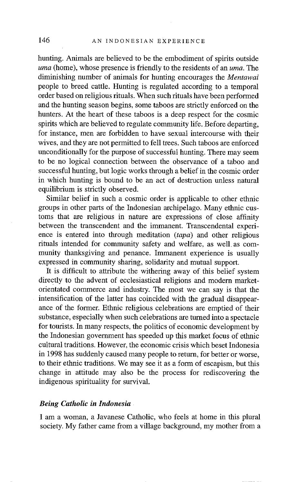hunting. Animals are believed to be the embodiment of spirits outside *uma* (home), whose presence is friendly to the residents of an *uma*. The diminishing number of animals for hunting encourages the *Mentawai*  people to breed cattle. Hunting is regulated according to a temporal order based on religious rituals. When such rituals have been performed and the hunting season begins, some taboos are strictly enforced on the hunters. At the heart of these taboos is a deep respect for the cosmic spirits which are believed to regulate community life. Before departing, for instance, men are forbidden to have sexual intercourse with their wives, and they are not permitted to fell trees. Such taboos are enforced unconditionally for the purpose of successful hunting. There may seem to be no logical connection between the observance of a taboo and successful hunting, but logic works through a belief in the cosmic order in which hunting is bound to be an act of destruction unless natural equilibrium is strictly observed.

Similar belief in such a cosmic order is applicable to other ethnic groups in other parts of the Indonesian archipelago. Many ethnic customs that are religious in nature are expressions of close affinity between the transcendent and the immanent. Transcendental experience is entered into through meditation *(tapa)* and other religious rituals intended for community safety and welfare, as well as community thanksgiving and penance. Immanent experience is usually expressed in community sharing, solidarity and mutual support.

It is difficult to attribute the withering away of this belief system directly to the advent of ecclesiastical religions and modern marketorientated commerce and industry. The most we can say is that the intensification of the latter has coincided with the gradual disappearance of the former. Ethnic religious celebrations are emptied of their substance, especially when such celebrations are turned into a spectacle for tourists. In many respects, the politics of economic development by the Indonesian government has speeded up this market focus of ethnic cultural traditions. However, the economic crisis which beset Indonesia in 1998 has suddenly caused many people to return, for better or worse, to their ethnic traditions. We may see it as a form of escapism, but this change in attitude may also be the process for rediscovering the indigenous spirituality for survival.

#### *Being Catholic in Indonesia*

I am a woman, a Javanese Catholic, who feels at home in this plural society. My father came from a village background, my mother from a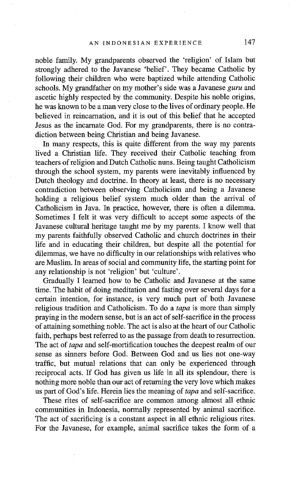noble family. My grandparents observed the 'religion' of Islam but strongly adhered to the Javanese 'belief'. They became Catholic by following their children who were baptized while attending Catholic schools. My grandfather on my mother's side was a Javanese *guru* and ascetic highly respected by the community. Despite his noble origins, he was known to be a man very close to the lives of ordinary people. He believed in reincarnation, and it is out of this belief that he accepted Jesus as the incarnate God. For my grandparents, there is no contradiction between being Christian and being Javanese.

In many respects, this is quite different from the way my parents lived a Christian life. They received their Catholic teaching from teachers of religion and Dutch Catholic nuns. Being taught Catholicism through the school system, my parents were inevitably influenced by Dutch theology and doctrine. In theory at least, there is no necessary contradiction between observing Catholicism and being a Javanese holding a religious belief system much older than the arrival of Catholicism in Java. In practice, however, there is often a dilemma. Sometimes I felt it was very difficult to accept some aspects of the Javanese cultural heritage taught me by my parents. I know well that my parents faithfully observed Catholic and church doctrines in their life and in educating their children, but despite all the potential for dilemmas, we have no difficulty in our relationships with relatives who are Muslim. In areas of social and community life, the starting point for any relationship is not 'religion' but 'culture'.

Gradually I learned how to be Catholic and Javanese at the same time. The habit of doing meditation and fasting over several days for a certain intention, for instance, is very much part of both Javanese religious tradition and Catholicism. To do a *tapa* is more than simply praying in the modern sense, but is an act of self-sacrifice in the process of attaining something noble. The act is also at the heart of our Catholic faith, perhaps best referred to as the passage from death to resurrection. The act of *tapa* and self-mortification touches the deepest realm of our sense as sinners before God. Between God and us lies not one-way traffic, but mutual relations that can only be experienced through reciprocal acts. If God has given us life in all its splendour, there is nothing more noble than our act of returning the very love which makes us part of God's life. Herein lies the meaning of *tapa* and self-sacrifice.

These rites of self-sacrifice are common among almost all ethnic communities in Indonesia, normally represented by animal sacrifice. The act of sacrificing is a constant aspect in all ethnic religious rites. For the Javanese, for example, animal sacrifice takes the form of a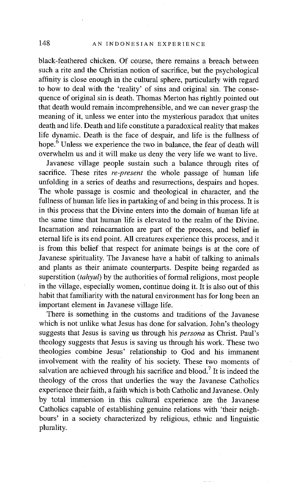# 148 AN INDONESIAN EXPERIENCE

black-feathered chicken. Of course, there remains a breach between such a rite and the Christian notion of sacrifice, but the psychological affinity is close enough in the cultural sphere, particularly with regard to how to deal with the 'reality' of sins and original sin. The consequence of original sin is death. Thomas Merton has rightly pointed out that death would remain incomprehensible, and we can never grasp the meaning of it, unless we enter into the mysterious paradox that unites death and life. Death and life constitute a paradoxical reality that makes life dynamic. Death is the face of despair, and life is the fullness of hope.<sup>6</sup> Unless we experience the two in balance, the fear of death will overwhelm us and it will make us deny the very life we want to live.

Javanese village people sustain such a balance through rites of sacrifice. These rites *re-present* the whole passage of human life unfolding in a series of deaths and resurrections, despairs and hopes. The whole passage is cosmic and theological in character, and the fullness of human life lies in partaking of and being in this process. It is in this process that the Divine enters into the domain of human life at the same time that human life is elevated to the realm of the Divine. Incarnation and reincarnation are part of the process, and belief in eternal life is its end point. All creatures experience this process, and it is from this belief that respect for animate beings is at the core of Javanese spirituality. The Javanese have a habit of talking to animals and plants as their animate counterparts. Despite being regarded as superstition *(tahyul)* by the authorities of formal religions, most people in the village, especially women, continue doing it. It is also out of this habit that familiarity with the natural environment has for long been an important element in Javanese village life.

There is something in the customs and traditions of the Javanese which is not unlike what Jesus has done for salvation. John's theology suggests that Jesus is saving us through his *persona* as Christ. Paul's theology suggests that Jesus is saving us through his work. These two theologies combine Jesus' relationship to God and his immanent involvement with the reality of his society. These two moments of salvation are achieved through his sacrifice and blood.<sup>7</sup> It is indeed the theology of the cross that underlies the way the Javanese Catholics experience their faith, a faith which is both Catholic and Javanese. Only by total immersion in this cultural experience are the Javanese Catholics capable of establishing genuine relations with 'their neighbours' in a society characterized by religious, ethnic and linguistic plurality.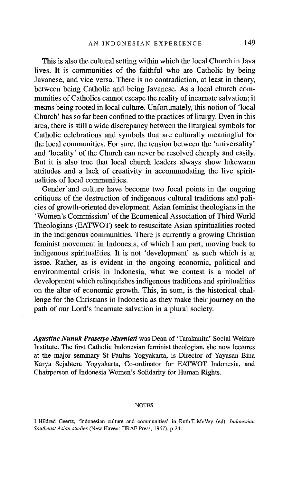This is also the cultural setting within which the local Church in Java lives. It is communities of the faithful who are Catholic by being Javanese, and vice versa. There is no contradiction, at least in theory, between being Catholic and being Javanese. As a local church communities of Catholics cannot escape the reality of incarnate salvation; it means being rooted in local culture. Unfortunately, this notion of 'local Church' has so far been confined to the practices of liturgy. Even in this area, there is still a wide discrepancy between the liturgical symbols for Catholic celebrations and symbols that are culturally meaningful for the local communities. For sure, the tension between the 'universality' and 'locality' of the Church can never be resolved cheaply and easily. But it is also true that local church leaders always show lukewarm attitudes and a lack of creativity in accommodating the live spiritualities of local communities.

Gender and culture have become two focal points in the ongoing critiques of the destruction of indigenous cultural traditions and policies of growth-oriented development. Asian feminist theologians in the 'Women's Commission' of the Ecumenical Association of Third World Theologians (EATWOT) seek to resuscitate Asian spiritualities rooted in the indigenous communities. There is currently a growing Christian feminist movement in Indonesia, of which I am part, moving back to indigenous spiritualities. It is not 'development' as such which is at issue. Rather, as is evident in the ongoing economic, political and environmental crisis in Indonesia, what we contest is a model of development which relinquishes indigenous traditions and spiritualities on the altar of economic growth. This, in sum, is the historical challenge for the Christians in Indonesia as they make their journey on the path of our Lord's incarnate salvation in a plural society.

*Agustine Nunuk Prasetyo Murniati* was Dean of 'Tarakanita' Social Welfare Institute. The first Catholic Indonesian feminist theologian, she now lectures at the major seminary St Paulus Yogyakarta, is Director of Yayasan Bina Karya Sejahtera Yogyakarta, Co-ordinator for EATWOT Indonesia, and Chairperson of Indonesia Women's Solidarity for Human Rights.

#### **NOTES**

1 Hildred Geertz, 'Indonesian culture and communities' in Ruth T. McVey (ed), *Indonesian Southeast Asian studies* (New Haven: HRAF Press, 1967), p 24.